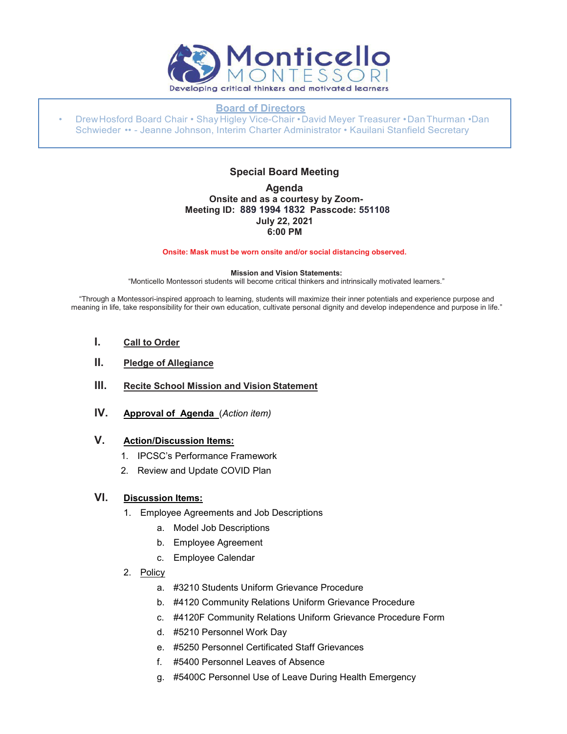

#### **Board of Directors**

• DrewHosford Board Chair • Shay Higley Vice-Chair •David Meyer Treasurer •DanThurman •Dan Schwieder •• - Jeanne Johnson, Interim Charter Administrator • Kauilani Stanfield Secretary

## **Special Board Meeting**

### **Agenda Onsite and as a courtesy by Zoom-Meeting ID: 889 1994 1832 Passcode: 551108 July 22, 2021 6:00 PM**

**Onsite: Mask must be worn onsite and/or social distancing observed.**

#### **Mission and Vision Statements:**

"Monticello Montessori students will become critical thinkers and intrinsically motivated learners."

"Through a Montessori-inspired approach to learning, students will maximize their inner potentials and experience purpose and meaning in life, take responsibility for their own education, cultivate personal dignity and develop independence and purpose in life."

- **I. Call to Order**
- **II. Pledge of Allegiance**
- **III. Recite School Mission and Vision Statement**
- **IV. Approval of Agenda** (*Action item)*

# **V. Action/Discussion Items:**

- 1. IPCSC's Performance Framework
- 2. Review and Update COVID Plan

### **VI. Discussion Items:**

- 1. Employee Agreements and Job Descriptions
	- a. Model Job Descriptions
	- b. Employee Agreement
	- c. Employee Calendar
- 2. Policy
	- a. #3210 Students Uniform Grievance Procedure
	- b. #4120 Community Relations Uniform Grievance Procedure
	- c. #4120F Community Relations Uniform Grievance Procedure Form
	- d. #5210 Personnel Work Day
	- e. #5250 Personnel Certificated Staff Grievances
	- f. #5400 Personnel Leaves of Absence
	- g. #5400C Personnel Use of Leave During Health Emergency